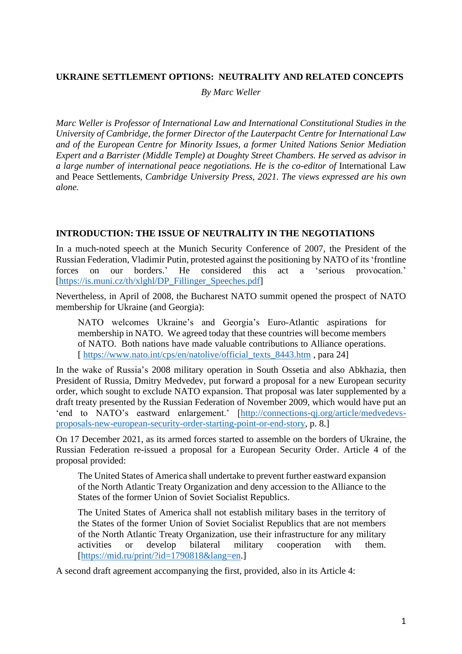### **UKRAINE SETTLEMENT OPTIONS: NEUTRALITY AND RELATED CONCEPTS**

*By Marc Weller*

*Marc Weller is Professor of International Law and International Constitutional Studies in the University of Cambridge, the former Director of the Lauterpacht Centre for International Law and of the European Centre for Minority Issues, a former United Nations Senior Mediation Expert and a Barrister (Middle Temple) at Doughty Street Chambers. He served as advisor in a large number of international peace negotiations. He is the co-editor of International Law* and Peace Settlements, *Cambridge University Press, 2021. The views expressed are his own alone.*

#### **INTRODUCTION: THE ISSUE OF NEUTRALITY IN THE NEGOTIATIONS**

In a much-noted speech at the Munich Security Conference of 2007, the President of the Russian Federation, Vladimir Putin, protested against the positioning by NATO of its 'frontline forces on our borders.' He considered this act a 'serious provocation.' [\[https://is.muni.cz/th/xlghl/DP\\_Fillinger\\_Speeches.pdf\]](https://is.muni.cz/th/xlghl/DP_Fillinger_Speeches.pdf)

Nevertheless, in April of 2008, the Bucharest NATO summit opened the prospect of NATO membership for Ukraine (and Georgia):

NATO welcomes Ukraine's and Georgia's Euro-Atlantic aspirations for membership in NATO. We agreed today that these countries will become members of NATO. Both nations have made valuable contributions to Alliance operations. [ [https://www.nato.int/cps/en/natolive/official\\_texts\\_8443.htm](https://www.nato.int/cps/en/natolive/official_texts_8443.htm) , para 24]

In the wake of Russia's 2008 military operation in South Ossetia and also Abkhazia, then President of Russia, Dmitry Medvedev, put forward a proposal for a new European security order, which sought to exclude NATO expansion. That proposal was later supplemented by a draft treaty presented by the Russian Federation of November 2009, which would have put an 'end to NATO's eastward enlargement.' [\[http://connections-qj.org/article/medvedevs](http://connections-qj.org/article/medvedevs-proposals-new-european-security-order-starting-point-or-end-story)[proposals-new-european-security-order-starting-point-or-end-story,](http://connections-qj.org/article/medvedevs-proposals-new-european-security-order-starting-point-or-end-story) p. 8.]

On 17 December 2021, as its armed forces started to assemble on the borders of Ukraine, the Russian Federation re-issued a proposal for a European Security Order. Article 4 of the proposal provided:

The United States of America shall undertake to prevent further eastward expansion of the North Atlantic Treaty Organization and deny accession to the Alliance to the States of the former Union of Soviet Socialist Republics.

The United States of America shall not establish military bases in the territory of the States of the former Union of Soviet Socialist Republics that are not members of the North Atlantic Treaty Organization, use their infrastructure for any military activities or develop bilateral military cooperation with them. [\[https://mid.ru/print/?id=1790818&lang=en.](https://mid.ru/print/?id=1790818&lang=en)]

A second draft agreement accompanying the first, provided, also in its Article 4: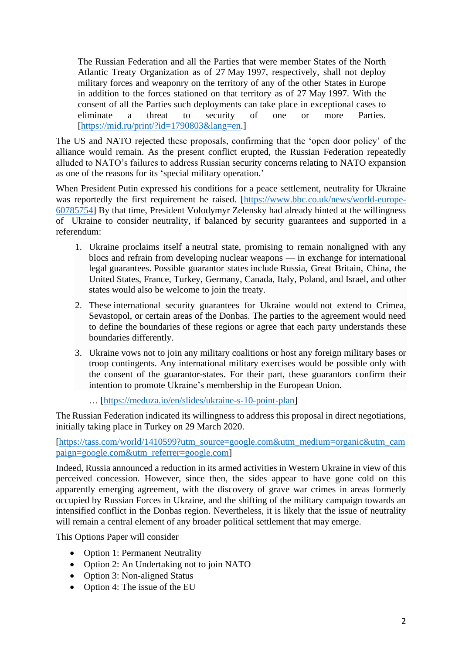The Russian Federation and all the Parties that were member States of the North Atlantic Treaty Organization as of 27 May 1997, respectively, shall not deploy military forces and weaponry on the territory of any of the other States in Europe in addition to the forces stationed on that territory as of 27 May 1997. With the consent of all the Parties such deployments can take place in exceptional cases to eliminate a threat to security of one or more Parties. [\[https://mid.ru/print/?id=1790803&lang=en.](https://mid.ru/print/?id=1790803&lang=en)]

The US and NATO rejected these proposals, confirming that the 'open door policy' of the alliance would remain. As the present conflict erupted, the Russian Federation repeatedly alluded to NATO's failures to address Russian security concerns relating to NATO expansion as one of the reasons for its 'special military operation.'

When President Putin expressed his conditions for a peace settlement, neutrality for Ukraine was reportedly the first requirement he raised. [\[https://www.bbc.co.uk/news/world-europe-](https://www.bbc.co.uk/news/world-europe-60785754)[60785754\]](https://www.bbc.co.uk/news/world-europe-60785754) By that time, President Volodymyr Zelensky had already hinted at the willingness of Ukraine to consider neutrality, if balanced by security guarantees and supported in a referendum:

- 1. Ukraine proclaims itself a neutral state, promising to remain nonaligned with any blocs and refrain from developing nuclear weapons — in exchange for international legal [guarantees.](https://twitter.com/Podolyak_M/status/1508743487944118273) Possible guarantor states include Russia, Great Britain, China, the United States, France, Turkey, Germany, Canada, Italy, Poland, and Israel, and other states would also be welcome to join the treaty.
- 2. These international security guarantees for Ukraine would not extend to Crimea, Sevastopol, or certain areas of the Donbas. The parties to the agreement would need to define the boundaries of these regions or agree that each party understands these boundaries differently.
- 3. Ukraine vows not to join any military coalitions or host any foreign military bases or troop contingents. Any international military exercises would be possible only with the consent of the guarantor-states. For their part, these guarantors confirm their intention to promote Ukraine's membership in the European Union.

… [\[https://meduza.io/en/slides/ukraine-s-10-point-plan\]](https://meduza.io/en/slides/ukraine-s-10-point-plan)

The Russian Federation indicated its willingness to address this proposal in direct negotiations, initially taking place in Turkey on 29 March 2020.

[https://tass.com/world/1410599?utm\_source=google.com&utm\_medium=organic&utm\_cam paign=google.com&utm\_referrer=google.com]

Indeed, Russia announced a reduction in its armed activities in Western Ukraine in view of this perceived concession. However, since then, the sides appear to have gone cold on this apparently emerging agreement, with the discovery of grave war crimes in areas formerly occupied by Russian Forces in Ukraine, and the shifting of the military campaign towards an intensified conflict in the Donbas region. Nevertheless, it is likely that the issue of neutrality will remain a central element of any broader political settlement that may emerge.

This Options Paper will consider

- Option 1: Permanent Neutrality
- Option 2: An Undertaking not to join NATO
- Option 3: Non-aligned Status
- Option 4: The issue of the EU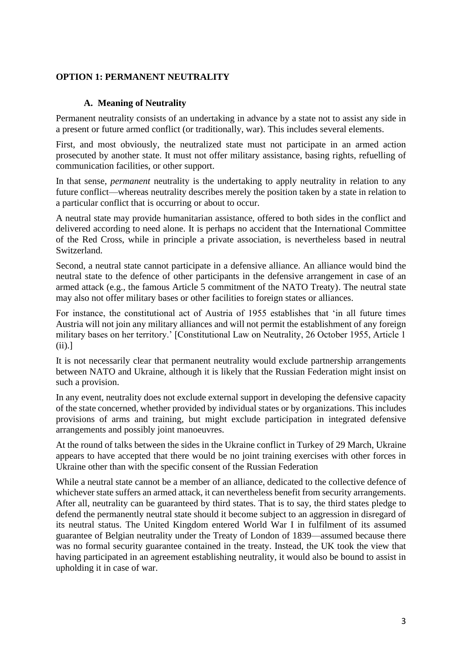# **OPTION 1: PERMANENT NEUTRALITY**

### **A. Meaning of Neutrality**

Permanent neutrality consists of an undertaking in advance by a state not to assist any side in a present or future armed conflict (or traditionally, war). This includes several elements.

First, and most obviously, the neutralized state must not participate in an armed action prosecuted by another state. It must not offer military assistance, basing rights, refuelling of communication facilities, or other support.

In that sense, *permanent* neutrality is the undertaking to apply neutrality in relation to any future conflict—whereas neutrality describes merely the position taken by a state in relation to a particular conflict that is occurring or about to occur.

A neutral state may provide humanitarian assistance, offered to both sides in the conflict and delivered according to need alone. It is perhaps no accident that the International Committee of the Red Cross, while in principle a private association, is nevertheless based in neutral Switzerland.

Second, a neutral state cannot participate in a defensive alliance. An alliance would bind the neutral state to the defence of other participants in the defensive arrangement in case of an armed attack (e.g., the famous Article 5 commitment of the NATO Treaty). The neutral state may also not offer military bases or other facilities to foreign states or alliances.

For instance, the constitutional act of Austria of 1955 establishes that 'in all future times Austria will not join any military alliances and will not permit the establishment of any foreign military bases on her territory.' [Constitutional Law on Neutrality, 26 October 1955, Article 1 (ii).]

It is not necessarily clear that permanent neutrality would exclude partnership arrangements between NATO and Ukraine, although it is likely that the Russian Federation might insist on such a provision.

In any event, neutrality does not exclude external support in developing the defensive capacity of the state concerned, whether provided by individual states or by organizations. This includes provisions of arms and training, but might exclude participation in integrated defensive arrangements and possibly joint manoeuvres.

At the round of talks between the sides in the Ukraine conflict in Turkey of 29 March, Ukraine appears to have accepted that there would be no joint training exercises with other forces in Ukraine other than with the specific consent of the Russian Federation

While a neutral state cannot be a member of an alliance, dedicated to the collective defence of whichever state suffers an armed attack, it can nevertheless benefit from security arrangements. After all, neutrality can be guaranteed by third states. That is to say, the third states pledge to defend the permanently neutral state should it become subject to an aggression in disregard of its neutral status. The United Kingdom entered World War I in fulfilment of its assumed guarantee of Belgian neutrality under the Treaty of London of 1839—assumed because there was no formal security guarantee contained in the treaty. Instead, the UK took the view that having participated in an agreement establishing neutrality, it would also be bound to assist in upholding it in case of war.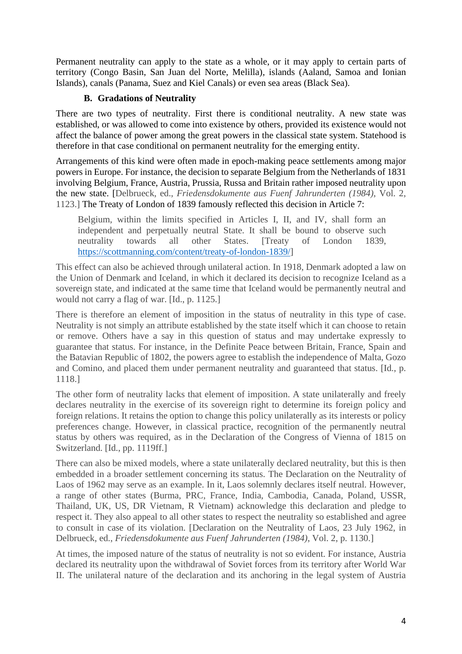Permanent neutrality can apply to the state as a whole, or it may apply to certain parts of territory (Congo Basin, San Juan del Norte, Melilla), islands (Aaland, Samoa and Ionian Islands), canals (Panama, Suez and Kiel Canals) or even sea areas (Black Sea).

# **B. Gradations of Neutrality**

There are two types of neutrality. First there is conditional neutrality. A new state was established, or was allowed to come into existence by others, provided its existence would not affect the balance of power among the great powers in the classical state system. Statehood is therefore in that case conditional on permanent neutrality for the emerging entity.

Arrangements of this kind were often made in epoch-making peace settlements among major powers in Europe. For instance, the decision to separate Belgium from the Netherlands of 1831 involving Belgium, France, Austria, Prussia, Russa and Britain rather imposed neutrality upon the new state. [Delbrueck, ed., *Friedensdokumente aus Fuenf Jahrunderten (1984)*, Vol. 2, 1123.] The Treaty of London of 1839 famously reflected this decision in Article 7:

Belgium, within the limits specified in Articles I, II, and IV, shall form an independent and perpetually neutral State. It shall be bound to observe such neutrality towards all other States. [Treaty of London 1839, [https://scottmanning.com/content/treaty-of-london-1839/\]](https://scottmanning.com/content/treaty-of-london-1839/)

This effect can also be achieved through unilateral action. In 1918, Denmark adopted a law on the Union of Denmark and Iceland, in which it declared its decision to recognize Iceland as a sovereign state, and indicated at the same time that Iceland would be permanently neutral and would not carry a flag of war. [Id., p. 1125.]

There is therefore an element of imposition in the status of neutrality in this type of case. Neutrality is not simply an attribute established by the state itself which it can choose to retain or remove. Others have a say in this question of status and may undertake expressly to guarantee that status. For instance, in the Definite Peace between Britain, France, Spain and the Batavian Republic of 1802, the powers agree to establish the independence of Malta, Gozo and Comino, and placed them under permanent neutrality and guaranteed that status. [Id., p. 1118.]

The other form of neutrality lacks that element of imposition. A state unilaterally and freely declares neutrality in the exercise of its sovereign right to determine its foreign policy and foreign relations. It retains the option to change this policy unilaterally as its interests or policy preferences change. However, in classical practice, recognition of the permanently neutral status by others was required, as in the Declaration of the Congress of Vienna of 1815 on Switzerland. [Id., pp. 1119ff.]

There can also be mixed models, where a state unilaterally declared neutrality, but this is then embedded in a broader settlement concerning its status. The Declaration on the Neutrality of Laos of 1962 may serve as an example. In it, Laos solemnly declares itself neutral. However, a range of other states (Burma, PRC, France, India, Cambodia, Canada, Poland, USSR, Thailand, UK, US, DR Vietnam, R Vietnam) acknowledge this declaration and pledge to respect it. They also appeal to all other states to respect the neutrality so established and agree to consult in case of its violation. [Declaration on the Neutrality of Laos, 23 July 1962, in Delbrueck, ed., *Friedensdokumente aus Fuenf Jahrunderten (1984)*, Vol. 2, p. 1130.]

At times, the imposed nature of the status of neutrality is not so evident. For instance, Austria declared its neutrality upon the withdrawal of Soviet forces from its territory after World War II. The unilateral nature of the declaration and its anchoring in the legal system of Austria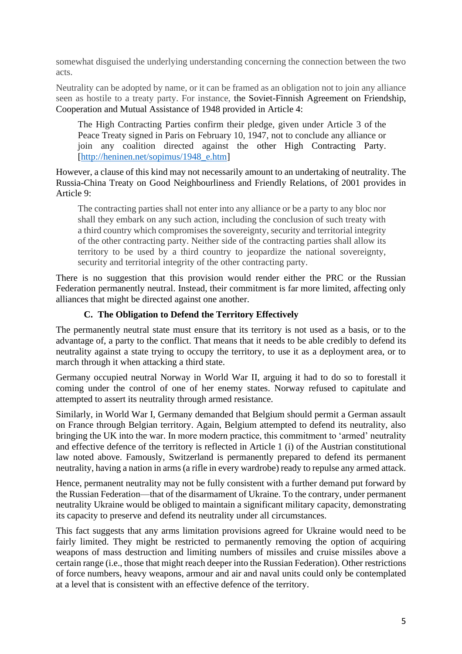somewhat disguised the underlying understanding concerning the connection between the two acts.

Neutrality can be adopted by name, or it can be framed as an obligation not to join any alliance seen as hostile to a treaty party. For instance, the Soviet-Finnish Agreement on Friendship, Cooperation and Mutual Assistance of 1948 provided in Article 4:

The High Contracting Parties confirm their pledge, given under Article 3 of [the](http://heninen.net/sopimus/1947_e.htm)  [Peace Treaty signed in Paris on February 10, 1947,](http://heninen.net/sopimus/1947_e.htm) not to conclude any alliance or join any coalition directed against the other High Contracting Party. [\[http://heninen.net/sopimus/1948\\_e.htm\]](http://heninen.net/sopimus/1948_e.htm)

However, a clause of this kind may not necessarily amount to an undertaking of neutrality. The Russia-China Treaty on Good Neighbourliness and Friendly Relations, of 2001 provides in Article 9:

The contracting parties shall not enter into any alliance or be a party to any bloc nor shall they embark on any such action, including the conclusion of such treaty with a third country which compromises the sovereignty, security and territorial integrity of the other contracting party. Neither side of the contracting parties shall allow its territory to be used by a third country to jeopardize the national sovereignty, security and territorial integrity of the other contracting party.

There is no suggestion that this provision would render either the PRC or the Russian Federation permanently neutral. Instead, their commitment is far more limited, affecting only alliances that might be directed against one another.

# **C. The Obligation to Defend the Territory Effectively**

The permanently neutral state must ensure that its territory is not used as a basis, or to the advantage of, a party to the conflict. That means that it needs to be able credibly to defend its neutrality against a state trying to occupy the territory, to use it as a deployment area, or to march through it when attacking a third state.

Germany occupied neutral Norway in World War II, arguing it had to do so to forestall it coming under the control of one of her enemy states. Norway refused to capitulate and attempted to assert its neutrality through armed resistance.

Similarly, in World War I, Germany demanded that Belgium should permit a German assault on France through Belgian territory. Again, Belgium attempted to defend its neutrality, also bringing the UK into the war. In more modern practice, this commitment to 'armed' neutrality and effective defence of the territory is reflected in Article 1 (i) of the Austrian constitutional law noted above. Famously, Switzerland is permanently prepared to defend its permanent neutrality, having a nation in arms (a rifle in every wardrobe) ready to repulse any armed attack.

Hence, permanent neutrality may not be fully consistent with a further demand put forward by the Russian Federation—that of the disarmament of Ukraine. To the contrary, under permanent neutrality Ukraine would be obliged to maintain a significant military capacity, demonstrating its capacity to preserve and defend its neutrality under all circumstances.

This fact suggests that any arms limitation provisions agreed for Ukraine would need to be fairly limited. They might be restricted to permanently removing the option of acquiring weapons of mass destruction and limiting numbers of missiles and cruise missiles above a certain range (i.e., those that might reach deeper into the Russian Federation). Other restrictions of force numbers, heavy weapons, armour and air and naval units could only be contemplated at a level that is consistent with an effective defence of the territory.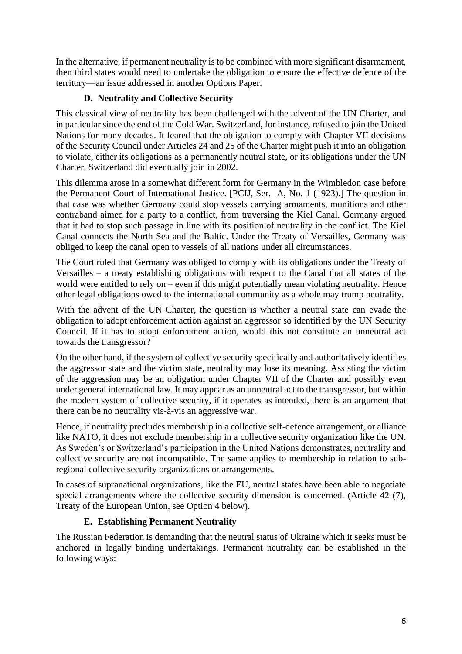In the alternative, if permanent neutrality is to be combined with more significant disarmament, then third states would need to undertake the obligation to ensure the effective defence of the territory—an issue addressed in another Options Paper.

# **D. Neutrality and Collective Security**

This classical view of neutrality has been challenged with the advent of the UN Charter, and in particular since the end of the Cold War. Switzerland, for instance, refused to join the United Nations for many decades. It feared that the obligation to comply with Chapter VII decisions of the Security Council under Articles 24 and 25 of the Charter might push it into an obligation to violate, either its obligations as a permanently neutral state, or its obligations under the UN Charter. Switzerland did eventually join in 2002.

This dilemma arose in a somewhat different form for Germany in the Wimbledon case before the Permanent Court of International Justice. [PCIJ, Ser. A, No. 1 (1923).] The question in that case was whether Germany could stop vessels carrying armaments, munitions and other contraband aimed for a party to a conflict, from traversing the Kiel Canal. Germany argued that it had to stop such passage in line with its position of neutrality in the conflict. The Kiel Canal connects the North Sea and the Baltic. Under the Treaty of Versailles, Germany was obliged to keep the canal open to vessels of all nations under all circumstances.

The Court ruled that Germany was obliged to comply with its obligations under the Treaty of Versailles – a treaty establishing obligations with respect to the Canal that all states of the world were entitled to rely on – even if this might potentially mean violating neutrality. Hence other legal obligations owed to the international community as a whole may trump neutrality.

With the advent of the UN Charter, the question is whether a neutral state can evade the obligation to adopt enforcement action against an aggressor so identified by the UN Security Council. If it has to adopt enforcement action, would this not constitute an unneutral act towards the transgressor?

On the other hand, if the system of collective security specifically and authoritatively identifies the aggressor state and the victim state, neutrality may lose its meaning. Assisting the victim of the aggression may be an obligation under Chapter VII of the Charter and possibly even under general international law. It may appear as an unneutral act to the transgressor, but within the modern system of collective security, if it operates as intended, there is an argument that there can be no neutrality vis-à-vis an aggressive war.

Hence, if neutrality precludes membership in a collective self-defence arrangement, or alliance like NATO, it does not exclude membership in a collective security organization like the UN. As Sweden's or Switzerland's participation in the United Nations demonstrates, neutrality and collective security are not incompatible. The same applies to membership in relation to subregional collective security organizations or arrangements.

In cases of supranational organizations, like the EU, neutral states have been able to negotiate special arrangements where the collective security dimension is concerned. (Article 42 (7), Treaty of the European Union, see Option 4 below).

### **E. Establishing Permanent Neutrality**

The Russian Federation is demanding that the neutral status of Ukraine which it seeks must be anchored in legally binding undertakings. Permanent neutrality can be established in the following ways: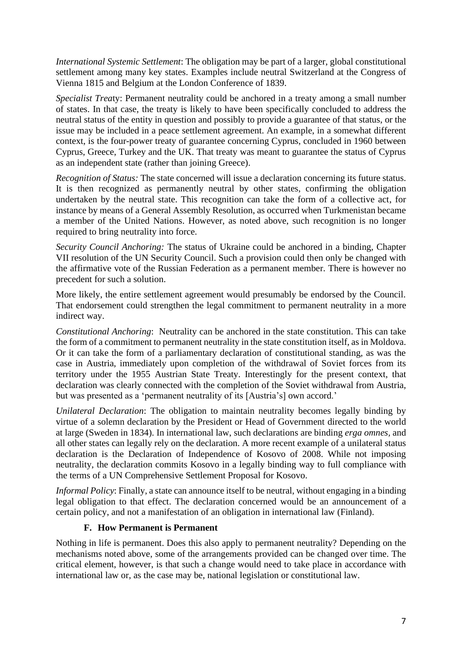*International Systemic Settlement*: The obligation may be part of a larger, global constitutional settlement among many key states. Examples include neutral Switzerland at the Congress of Vienna 1815 and Belgium at the London Conference of 1839.

*Specialist Trea*ty: Permanent neutrality could be anchored in a treaty among a small number of states. In that case, the treaty is likely to have been specifically concluded to address the neutral status of the entity in question and possibly to provide a guarantee of that status, or the issue may be included in a peace settlement agreement. An example, in a somewhat different context, is the four-power treaty of guarantee concerning Cyprus, concluded in 1960 between Cyprus, Greece, Turkey and the UK. That treaty was meant to guarantee the status of Cyprus as an independent state (rather than joining Greece).

*Recognition of Status:* The state concerned will issue a declaration concerning its future status. It is then recognized as permanently neutral by other states, confirming the obligation undertaken by the neutral state. This recognition can take the form of a collective act, for instance by means of a General Assembly Resolution, as occurred when Turkmenistan became a member of the United Nations. However, as noted above, such recognition is no longer required to bring neutrality into force.

*Security Council Anchoring:* The status of Ukraine could be anchored in a binding, Chapter VII resolution of the UN Security Council. Such a provision could then only be changed with the affirmative vote of the Russian Federation as a permanent member. There is however no precedent for such a solution.

More likely, the entire settlement agreement would presumably be endorsed by the Council. That endorsement could strengthen the legal commitment to permanent neutrality in a more indirect way.

*Constitutional Anchoring*: Neutrality can be anchored in the state constitution. This can take the form of a commitment to permanent neutrality in the state constitution itself, as in Moldova. Or it can take the form of a parliamentary declaration of constitutional standing, as was the case in Austria, immediately upon completion of the withdrawal of Soviet forces from its territory under the 1955 Austrian State Treaty. Interestingly for the present context, that declaration was clearly connected with the completion of the Soviet withdrawal from Austria, but was presented as a 'permanent neutrality of its [Austria's] own accord.'

*Unilateral Declaration*: The obligation to maintain neutrality becomes legally binding by virtue of a solemn declaration by the President or Head of Government directed to the world at large (Sweden in 1834). In international law, such declarations are binding *erga omnes,* and all other states can legally rely on the declaration. A more recent example of a unilateral status declaration is the Declaration of Independence of Kosovo of 2008. While not imposing neutrality, the declaration commits Kosovo in a legally binding way to full compliance with the terms of a UN Comprehensive Settlement Proposal for Kosovo.

*Informal Policy:* Finally, a state can announce itself to be neutral, without engaging in a binding legal obligation to that effect. The declaration concerned would be an announcement of a certain policy, and not a manifestation of an obligation in international law (Finland).

### **F. How Permanent is Permanent**

Nothing in life is permanent. Does this also apply to permanent neutrality? Depending on the mechanisms noted above, some of the arrangements provided can be changed over time. The critical element, however, is that such a change would need to take place in accordance with international law or, as the case may be, national legislation or constitutional law.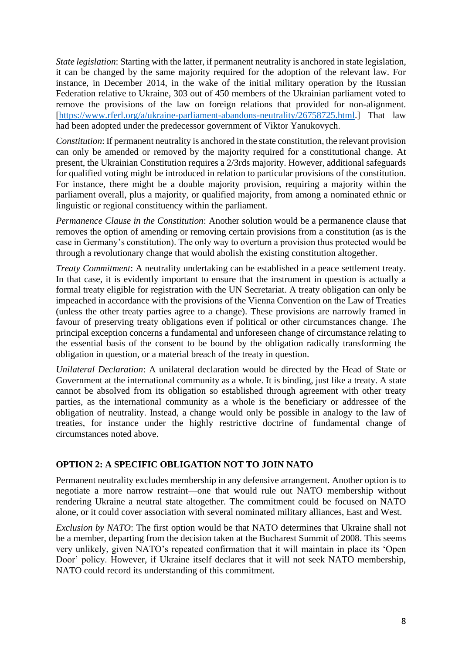*State legislation*: Starting with the latter, if permanent neutrality is anchored in state legislation, it can be changed by the same majority required for the adoption of the relevant law. For instance, in December 2014, in the wake of the initial military operation by the Russian Federation relative to Ukraine, 303 out of 450 members of the Ukrainian parliament voted to remove the provisions of the law on foreign relations that provided for non-alignment. [\[https://www.rferl.org/a/ukraine-parliament-abandons-neutrality/26758725.html.](https://www.rferl.org/a/ukraine-parliament-abandons-neutrality/26758725.html)] That law had been adopted under the predecessor government of Viktor Yanukovych.

*Constitution*: If permanent neutrality is anchored in the state constitution, the relevant provision can only be amended or removed by the majority required for a constitutional change. At present, the Ukrainian Constitution requires a 2/3rds majority. However, additional safeguards for qualified voting might be introduced in relation to particular provisions of the constitution. For instance, there might be a double majority provision, requiring a majority within the parliament overall, plus a majority, or qualified majority, from among a nominated ethnic or linguistic or regional constituency within the parliament.

*Permanence Clause in the Constitution*: Another solution would be a permanence clause that removes the option of amending or removing certain provisions from a constitution (as is the case in Germany's constitution). The only way to overturn a provision thus protected would be through a revolutionary change that would abolish the existing constitution altogether.

*Treaty Commitment*: A neutrality undertaking can be established in a peace settlement treaty. In that case, it is evidently important to ensure that the instrument in question is actually a formal treaty eligible for registration with the UN Secretariat. A treaty obligation can only be impeached in accordance with the provisions of the Vienna Convention on the Law of Treaties (unless the other treaty parties agree to a change). These provisions are narrowly framed in favour of preserving treaty obligations even if political or other circumstances change. The principal exception concerns a fundamental and unforeseen change of circumstance relating to the essential basis of the consent to be bound by the obligation radically transforming the obligation in question, or a material breach of the treaty in question.

*Unilateral Declaration*: A unilateral declaration would be directed by the Head of State or Government at the international community as a whole. It is binding, just like a treaty. A state cannot be absolved from its obligation so established through agreement with other treaty parties, as the international community as a whole is the beneficiary or addressee of the obligation of neutrality. Instead, a change would only be possible in analogy to the law of treaties, for instance under the highly restrictive doctrine of fundamental change of circumstances noted above.

### **OPTION 2: A SPECIFIC OBLIGATION NOT TO JOIN NATO**

Permanent neutrality excludes membership in any defensive arrangement. Another option is to negotiate a more narrow restraint—one that would rule out NATO membership without rendering Ukraine a neutral state altogether. The commitment could be focused on NATO alone, or it could cover association with several nominated military alliances, East and West.

*Exclusion by NATO*: The first option would be that NATO determines that Ukraine shall not be a member, departing from the decision taken at the Bucharest Summit of 2008. This seems very unlikely, given NATO's repeated confirmation that it will maintain in place its 'Open Door' policy. However, if Ukraine itself declares that it will not seek NATO membership, NATO could record its understanding of this commitment.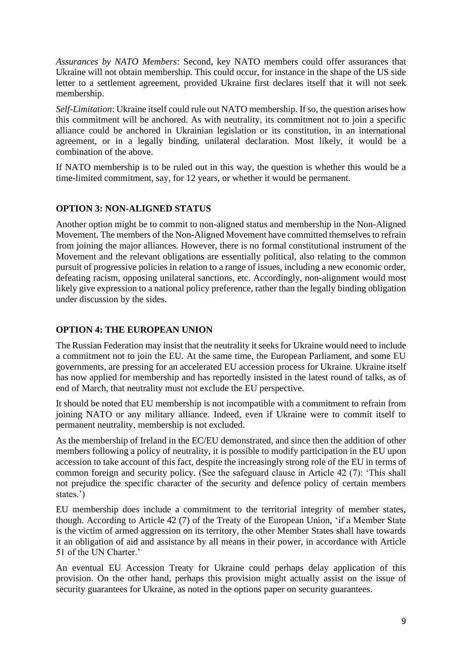*Assurances by NATO Members*: Second, key NATO members could offer assurances that Ukraine will not obtain membership. This could occur, for instance in the shape of the US side letter to a settlement agreement, provided Ukraine first declares itself that it will not seek membership.

*Self-Limitation*: Ukraine itself could rule out NATO membership. If so, the question arises how this commitment will be anchored. As with neutrality, its commitment not to join a specific alliance could be anchored in Ukrainian legislation or its constitution, in an international agreement, or in a legally binding, unilateral declaration. Most likely, it would be a combination of the above.

If NATO membership is to be ruled out in this way, the question is whether this would be a time-limited commitment, say, for 12 years, or whether it would be permanent.

# **OPTION 3: NON-ALIGNED STATUS**

Another option might be to commit to non-aligned status and membership in the Non-Aligned Movement. The members of the Non-Aligned Movement have committed themselves to refrain from joining the major alliances. However, there is no formal constitutional instrument of the Movement and the relevant obligations are essentially political, also relating to the common pursuit of progressive policies in relation to a range of issues, including a new economic order, defeating racism, opposing unilateral sanctions, etc. Accordingly, non-alignment would most likely give expression to a national policy preference, rather than the legally binding obligation under discussion by the sides.

#### **OPTION 4: THE EUROPEAN UNION**

The Russian Federation may insist that the neutrality it seeks for Ukraine would need to include a commitment not to join the EU. At the same time, the European Parliament, and some EU governments, are pressing for an accelerated EU accession process for Ukraine. Ukraine itself has now applied for membership and has reportedly insisted in the latest round of talks, as of end of March, that neutrality must not exclude the EU perspective.

It should be noted that EU membership is not incompatible with a commitment to refrain from joining NATO or any military alliance. Indeed, even if Ukraine were to commit itself to permanent neutrality, membership is not excluded.

As the membership of Ireland in the EC/EU demonstrated, and since then the addition of other members following a policy of neutrality, it is possible to modify participation in the EU upon accession to take account of this fact, despite the increasingly strong role of the EU in terms of common foreign and security policy. (See the safeguard clause in Article 42 (7): 'This shall not prejudice the specific character of the security and defence policy of certain members states.')

EU membership does include a commitment to the territorial integrity of member states, though. According to Article 42 (7) of the Treaty of the European Union, 'if a Member State is the victim of armed aggression on its territory, the other Member States shall have towards it an obligation of aid and assistance by all means in their power, in accordance with Article 51 of the UN Charter.'

An eventual EU Accession Treaty for Ukraine could perhaps delay application of this provision. On the other hand, perhaps this provision might actually assist on the issue of security guarantees for Ukraine, as noted in the options paper on security guarantees.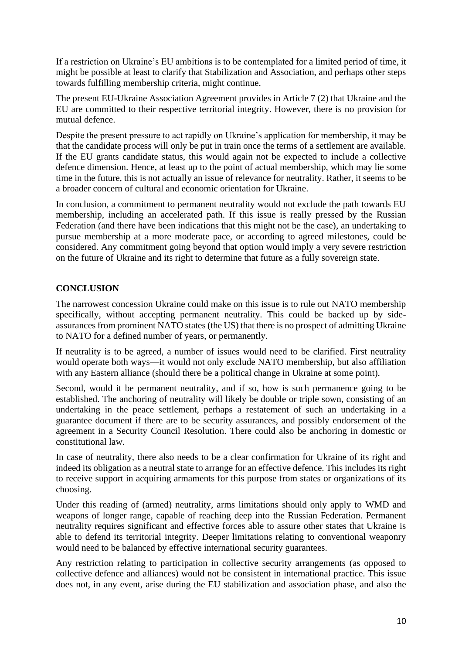If a restriction on Ukraine's EU ambitions is to be contemplated for a limited period of time, it might be possible at least to clarify that Stabilization and Association, and perhaps other steps towards fulfilling membership criteria, might continue.

The present EU-Ukraine Association Agreement provides in Article 7 (2) that Ukraine and the EU are committed to their respective territorial integrity. However, there is no provision for mutual defence.

Despite the present pressure to act rapidly on Ukraine's application for membership, it may be that the candidate process will only be put in train once the terms of a settlement are available. If the EU grants candidate status, this would again not be expected to include a collective defence dimension. Hence, at least up to the point of actual membership, which may lie some time in the future, this is not actually an issue of relevance for neutrality. Rather, it seems to be a broader concern of cultural and economic orientation for Ukraine.

In conclusion, a commitment to permanent neutrality would not exclude the path towards EU membership, including an accelerated path. If this issue is really pressed by the Russian Federation (and there have been indications that this might not be the case), an undertaking to pursue membership at a more moderate pace, or according to agreed milestones, could be considered. Any commitment going beyond that option would imply a very severe restriction on the future of Ukraine and its right to determine that future as a fully sovereign state.

# **CONCLUSION**

The narrowest concession Ukraine could make on this issue is to rule out NATO membership specifically, without accepting permanent neutrality. This could be backed up by sideassurances from prominent NATO states (the US) that there is no prospect of admitting Ukraine to NATO for a defined number of years, or permanently.

If neutrality is to be agreed, a number of issues would need to be clarified. First neutrality would operate both ways—it would not only exclude NATO membership, but also affiliation with any Eastern alliance (should there be a political change in Ukraine at some point).

Second, would it be permanent neutrality, and if so, how is such permanence going to be established. The anchoring of neutrality will likely be double or triple sown, consisting of an undertaking in the peace settlement, perhaps a restatement of such an undertaking in a guarantee document if there are to be security assurances, and possibly endorsement of the agreement in a Security Council Resolution. There could also be anchoring in domestic or constitutional law.

In case of neutrality, there also needs to be a clear confirmation for Ukraine of its right and indeed its obligation as a neutral state to arrange for an effective defence. This includes its right to receive support in acquiring armaments for this purpose from states or organizations of its choosing.

Under this reading of (armed) neutrality, arms limitations should only apply to WMD and weapons of longer range, capable of reaching deep into the Russian Federation. Permanent neutrality requires significant and effective forces able to assure other states that Ukraine is able to defend its territorial integrity. Deeper limitations relating to conventional weaponry would need to be balanced by effective international security guarantees.

Any restriction relating to participation in collective security arrangements (as opposed to collective defence and alliances) would not be consistent in international practice. This issue does not, in any event, arise during the EU stabilization and association phase, and also the